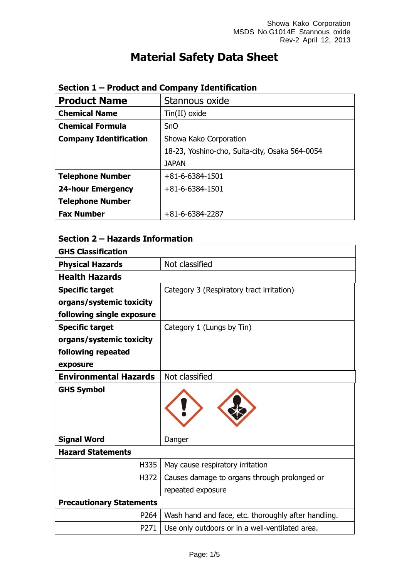# **Material Safety Data Sheet**

| <b>Product Name</b>           | Stannous oxide                                 |
|-------------------------------|------------------------------------------------|
| <b>Chemical Name</b>          | Tin(II) oxide                                  |
| <b>Chemical Formula</b>       | <b>SnO</b>                                     |
| <b>Company Identification</b> | Showa Kako Corporation                         |
|                               | 18-23, Yoshino-cho, Suita-city, Osaka 564-0054 |
|                               | <b>JAPAN</b>                                   |
| <b>Telephone Number</b>       | $+81 - 6 - 6384 - 1501$                        |
| <b>24-hour Emergency</b>      | $+81 - 6 - 6384 - 1501$                        |
| <b>Telephone Number</b>       |                                                |
| <b>Fax Number</b>             | $+81-6-6384-2287$                              |

#### **Section 1 – Product and Company Identification**

## **Section 2 – Hazards Information**

| <b>GHS Classification</b>                 |                                                     |
|-------------------------------------------|-----------------------------------------------------|
| Not classified<br><b>Physical Hazards</b> |                                                     |
| <b>Health Hazards</b>                     |                                                     |
| <b>Specific target</b>                    | Category 3 (Respiratory tract irritation)           |
| organs/systemic toxicity                  |                                                     |
| following single exposure                 |                                                     |
| <b>Specific target</b>                    | Category 1 (Lungs by Tin)                           |
| organs/systemic toxicity                  |                                                     |
| following repeated                        |                                                     |
| exposure                                  |                                                     |
| <b>Environmental Hazards</b>              | Not classified                                      |
| <b>GHS Symbol</b>                         |                                                     |
| <b>Signal Word</b>                        | Danger                                              |
| <b>Hazard Statements</b>                  |                                                     |
| H335                                      | May cause respiratory irritation                    |
| H372                                      | Causes damage to organs through prolonged or        |
|                                           | repeated exposure                                   |
| <b>Precautionary Statements</b>           |                                                     |
| P264                                      | Wash hand and face, etc. thoroughly after handling. |
| P271                                      | Use only outdoors or in a well-ventilated area.     |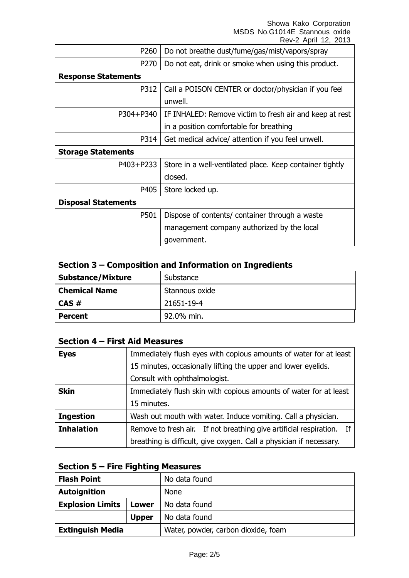#### Showa Kako Corporation MSDS No.G1014E Stannous oxide Rev-2 April 12, 2013

| P260                       | Do not breathe dust/fume/gas/mist/vapors/spray           |  |
|----------------------------|----------------------------------------------------------|--|
| P270                       | Do not eat, drink or smoke when using this product.      |  |
| <b>Response Statements</b> |                                                          |  |
| P312                       | Call a POISON CENTER or doctor/physician if you feel     |  |
|                            | unwell.                                                  |  |
| P304+P340                  | IF INHALED: Remove victim to fresh air and keep at rest  |  |
|                            | in a position comfortable for breathing                  |  |
| P314                       | Get medical advice/ attention if you feel unwell.        |  |
| <b>Storage Statements</b>  |                                                          |  |
| P403+P233                  | Store in a well-ventilated place. Keep container tightly |  |
|                            | closed.                                                  |  |
| P405                       | Store locked up.                                         |  |
| <b>Disposal Statements</b> |                                                          |  |
| P501                       | Dispose of contents/ container through a waste           |  |
|                            | management company authorized by the local               |  |
|                            | government.                                              |  |

#### **Section 3 – Composition and Information on Ingredients**

| <b>Substance/Mixture</b> | Substance      |
|--------------------------|----------------|
| <b>Chemical Name</b>     | Stannous oxide |
| $CAS \#$                 | 21651-19-4     |
| <b>Percent</b>           | 92.0% min.     |

#### **Section 4 – First Aid Measures**

| <b>Eyes</b>       | Immediately flush eyes with copious amounts of water for at least     |
|-------------------|-----------------------------------------------------------------------|
|                   | 15 minutes, occasionally lifting the upper and lower eyelids.         |
|                   | Consult with ophthalmologist.                                         |
| <b>Skin</b>       | Immediately flush skin with copious amounts of water for at least     |
|                   | 15 minutes.                                                           |
| <b>Ingestion</b>  | Wash out mouth with water. Induce vomiting. Call a physician.         |
| <b>Inhalation</b> | Remove to fresh air. If not breathing give artificial respiration. If |
|                   | breathing is difficult, give oxygen. Call a physician if necessary.   |

## **Section 5 – Fire Fighting Measures**

| <b>Flash Point</b>      |              | No data found                       |
|-------------------------|--------------|-------------------------------------|
| <b>Autoignition</b>     |              | <b>None</b>                         |
| <b>Explosion Limits</b> | Lower        | No data found                       |
|                         | <b>Upper</b> | No data found                       |
| <b>Extinguish Media</b> |              | Water, powder, carbon dioxide, foam |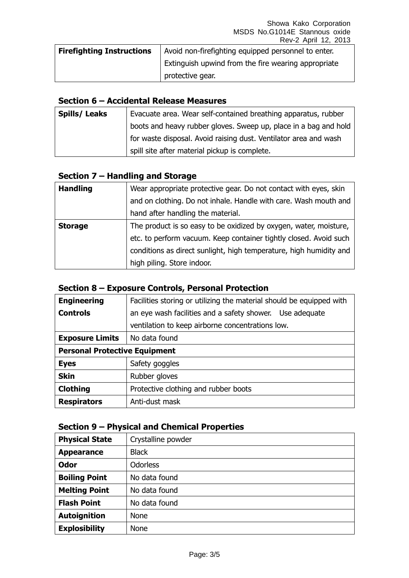| <b>Firefighting Instructions</b> | Avoid non-firefighting equipped personnel to enter. |
|----------------------------------|-----------------------------------------------------|
|                                  | Extinguish upwind from the fire wearing appropriate |
|                                  | protective gear.                                    |

#### **Section 6 – Accidental Release Measures**

| <b>Spills/Leaks</b> | Evacuate area. Wear self-contained breathing apparatus, rubber   |
|---------------------|------------------------------------------------------------------|
|                     | boots and heavy rubber gloves. Sweep up, place in a bag and hold |
|                     | for waste disposal. Avoid raising dust. Ventilator area and wash |
|                     | spill site after material pickup is complete.                    |

### **Section 7 – Handling and Storage**

| <b>Handling</b> | Wear appropriate protective gear. Do not contact with eyes, skin   |
|-----------------|--------------------------------------------------------------------|
|                 | and on clothing. Do not inhale. Handle with care. Wash mouth and   |
|                 | hand after handling the material.                                  |
| <b>Storage</b>  | The product is so easy to be oxidized by oxygen, water, moisture,  |
|                 | etc. to perform vacuum. Keep container tightly closed. Avoid such  |
|                 | conditions as direct sunlight, high temperature, high humidity and |
|                 | high piling. Store indoor.                                         |

#### **Section 8 – Exposure Controls, Personal Protection**

| <b>Engineering</b>                   | Facilities storing or utilizing the material should be equipped with |
|--------------------------------------|----------------------------------------------------------------------|
| <b>Controls</b>                      | an eye wash facilities and a safety shower. Use adequate             |
|                                      | ventilation to keep airborne concentrations low.                     |
| <b>Exposure Limits</b>               | No data found                                                        |
| <b>Personal Protective Equipment</b> |                                                                      |
| <b>Eyes</b>                          | Safety goggles                                                       |
| <b>Skin</b>                          | Rubber gloves                                                        |
| <b>Clothing</b>                      | Protective clothing and rubber boots                                 |
| <b>Respirators</b>                   | Anti-dust mask                                                       |

## **Section 9 – Physical and Chemical Properties**

| <b>Physical State</b> | Crystalline powder |
|-----------------------|--------------------|
| <b>Appearance</b>     | <b>Black</b>       |
| <b>Odor</b>           | <b>Odorless</b>    |
| <b>Boiling Point</b>  | No data found      |
| <b>Melting Point</b>  | No data found      |
| <b>Flash Point</b>    | No data found      |
| <b>Autoignition</b>   | <b>None</b>        |
| <b>Explosibility</b>  | <b>None</b>        |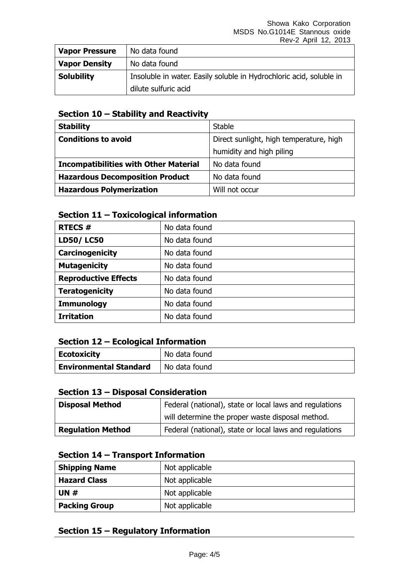| <b>Vapor Pressure</b> | No data found                                                       |  |
|-----------------------|---------------------------------------------------------------------|--|
| <b>Vapor Density</b>  | No data found                                                       |  |
| <b>Solubility</b>     | Insoluble in water. Easily soluble in Hydrochloric acid, soluble in |  |
|                       | dilute sulfuric acid                                                |  |

### **Section 10 – Stability and Reactivity**

| <b>Stability</b>                             | <b>Stable</b>                           |
|----------------------------------------------|-----------------------------------------|
| <b>Conditions to avoid</b>                   | Direct sunlight, high temperature, high |
|                                              | humidity and high piling                |
| <b>Incompatibilities with Other Material</b> | No data found                           |
| <b>Hazardous Decomposition Product</b>       | No data found                           |
| <b>Hazardous Polymerization</b>              | Will not occur                          |

#### **Section 11 – Toxicological information**

| <b>RTECS#</b>               | No data found |
|-----------------------------|---------------|
| <b>LD50/LC50</b>            | No data found |
| Carcinogenicity             | No data found |
| <b>Mutagenicity</b>         | No data found |
| <b>Reproductive Effects</b> | No data found |
| <b>Teratogenicity</b>       | No data found |
| <b>Immunology</b>           | No data found |
| <b>Irritation</b>           | No data found |

#### **Section 12 – Ecological Information**

| <b>Ecotoxicity</b>            | No data found |
|-------------------------------|---------------|
| <b>Environmental Standard</b> | No data found |

#### **Section 13 – Disposal Consideration**

| <b>Disposal Method</b>   | Federal (national), state or local laws and regulations |
|--------------------------|---------------------------------------------------------|
|                          | will determine the proper waste disposal method.        |
| <b>Regulation Method</b> | Federal (national), state or local laws and regulations |

#### **Section 14 – Transport Information**

| <b>Shipping Name</b> | Not applicable |
|----------------------|----------------|
| <b>Hazard Class</b>  | Not applicable |
| UN $#$               | Not applicable |
| <b>Packing Group</b> | Not applicable |

## **Section 15 – Regulatory Information**